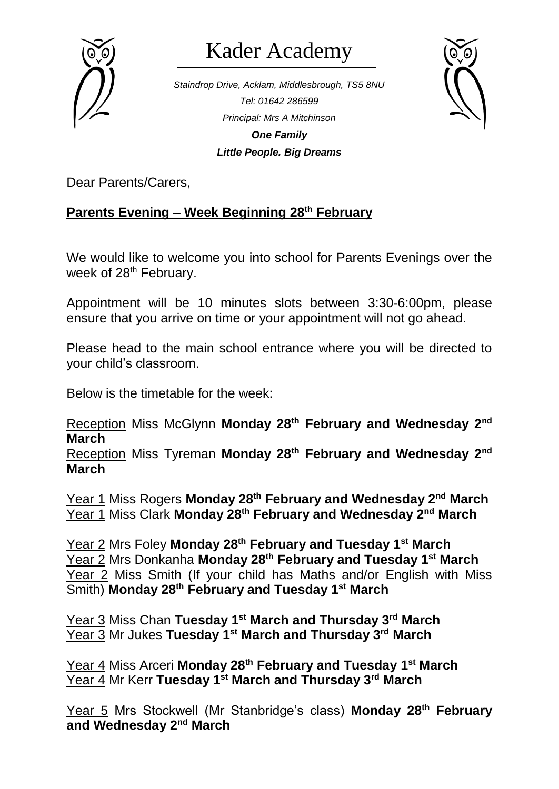

## Kader Academy

*Staindrop Drive, Acklam, Middlesbrough, TS5 8NU Tel: 01642 286599 Principal: Mrs A Mitchinson One Family Little People. Big Dreams*



Dear Parents/Carers,

## **Parents Evening – Week Beginning 28th February**

We would like to welcome you into school for Parents Evenings over the week of 28<sup>th</sup> February.

Appointment will be 10 minutes slots between 3:30-6:00pm, please ensure that you arrive on time or your appointment will not go ahead.

Please head to the main school entrance where you will be directed to your child's classroom.

Below is the timetable for the week:

Reception Miss McGlynn **Monday 28th February and Wednesday 2nd March**

Reception Miss Tyreman **Monday 28th February and Wednesday 2nd March**

Year 1 Miss Rogers **Monday 28th February and Wednesday 2nd March** Year 1 Miss Clark **Monday 28th February and Wednesday 2nd March**

Year 2 Mrs Foley **Monday 28th February and Tuesday 1st March** Year 2 Mrs Donkanha **Monday 28th February and Tuesday 1st March** Year 2 Miss Smith (If your child has Maths and/or English with Miss Smith) **Monday 28th February and Tuesday 1st March**

Year 3 Miss Chan **Tuesday 1 st March and Thursday 3rd March** Year 3 Mr Jukes **Tuesday 1st March and Thursday 3rd March**

Year 4 Miss Arceri **Monday 28th February and Tuesday 1st March** Year 4 Mr Kerr **Tuesday 1st March and Thursday 3rd March**

Year 5 Mrs Stockwell (Mr Stanbridge's class) **Monday 28th February and Wednesday 2nd March**